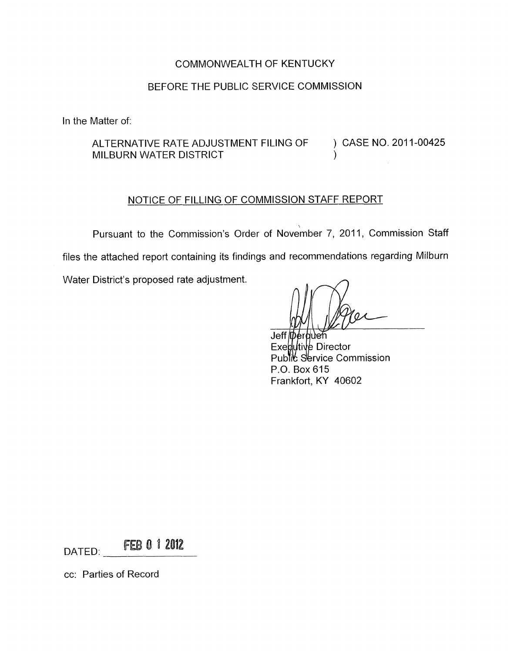# COMMONWEALTH OF KENTUCKY

# BEFORE THE PUBLIC SERVICE COMMISSION

In the Matter of:

ALTERNATIVE RATE ADJUSTMENT FILING OF MILBURN WATER DISTRICT (1999) ) CASE NO. 2011-00425

### NOTICE OF FILLING OF COMMISSION STAFF REPORT

Pursuant to the Commission's Order of November 7, 2011, Commission Staff files the attached report containing its findings and recommendations regarding Milburn Water District's proposed rate adjustment.

Jeff Derbuen  $Ex$ ed Utive Director Public Service Commission P.O. Box 615 Frankfort, KY 40602

DATED: FEB 0 1 2012

cc: Parties of Record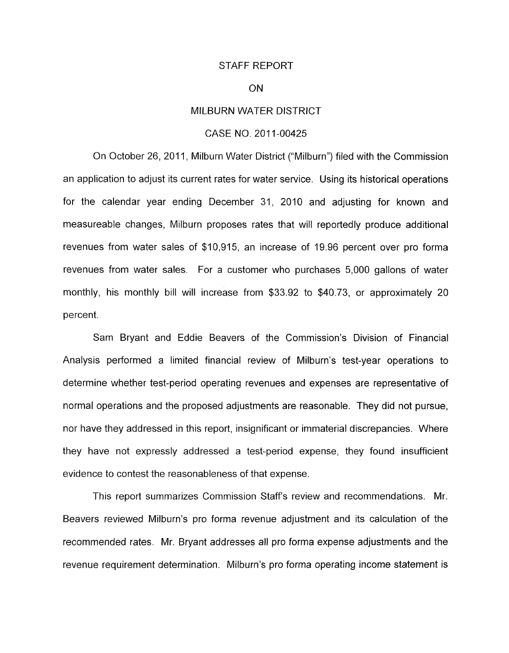### STAFF REPORT

### ON

### MILBURN WATER DISTRICT

### CASE NO. 2011-00425

On October 26, 2011, Milburn Water District ("Milburn") filed with the Commission an application to adjust its current rates for water service. Using its historical operations for the calendar year ending December 31, 2010 and adjusting for known and measureable changes, Milburn proposes rates that will reportedly produce additional revenues from water sales of \$10,915, an increase of 19.96 percent over pro forma revenues from water sales. For a customer who purchases 5,000 gallons of water monthly, his monthly bill will increase from \$33.92 to \$40.73, or approximately 20 percent.

Sam Bryant and Eddie Beavers of the Commission's Division of Financial Analysis performed a limited financial review of Milburn's test-year operations to determine whether test-period operating revenues and expenses are representative of normal operations and the proposed adjustments are reasonable. They did not pursue, nor have they addressed in this report, insignificant or immaterial discrepancies. Where they have not expressly addressed a test-period expense, they found insufficient evidence to contest the reasonableness of that expense.

This report summarizes Commission Staff's review and recommendations. Mr. Beavers reviewed Milburn's pro forma revenue adjustment and its calculation of the recommended rates. Mr. Bryant addresses all pro forma expense adjustments and the revenue requirement determination. Milburn's pro forma operating income statement is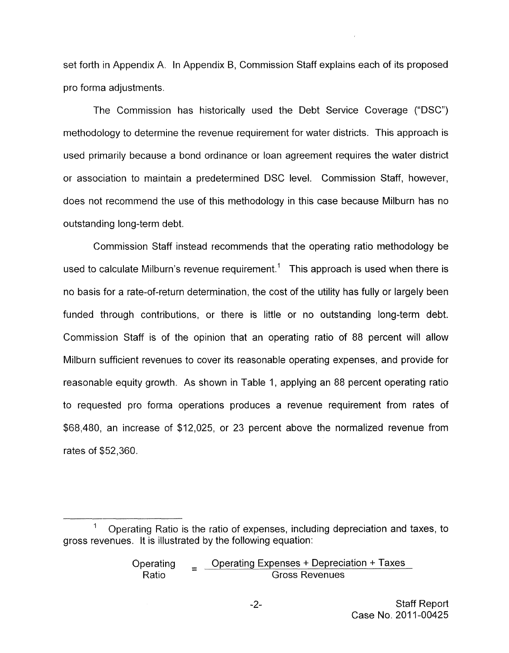set forth in Appendix A. In Appendix B, Commission Staff explains each of its proposed pro forma adjustments.

The commission has historically used the Debt Service Coverage ("DSC") methodology to determine the revenue requirement for water districts. This approach is used primarily because a bond ordinance or loan agreement requires the water district or association to maintain a predetermined DSC level. Commission Staff, however, does not recommend the use of this methodology in this case because Milburn has no outstanding long-term debt.

Commission Staff instead recommends that the operating ratio methodology be used to calculate Milburn's revenue requirement.<sup>1</sup> This approach is used when there is no basis for a rate-of-return determination, the cost of the utility has fully or largely been funded through contributions, or there is little or no outstanding long-term debt. Commission Staff is of the opinion that an operating ratio of 88 percent will allow Milburn sufficient revenues to cover its reasonable operating expenses, and provide for reasonable equity growth. As shown in Table 1, applying an 88 percent operating ratio to requested pro forma operations produces a revenue requirement from rates of \$68,480, an increase of \$12,025, or 23 percent above the normalized revenue from rates of \$52,360.

 $\frac{1}{1}$ gross revenues. It is illustrated by the following equation: Operating Ratio is the ratio of expenses, including depreciation and taxes, to

Operating **Conduct** Operating Expenses + Depreciation + Taxes Ratio  $\overline{a}$   $\overline{a}$  Gross Revenues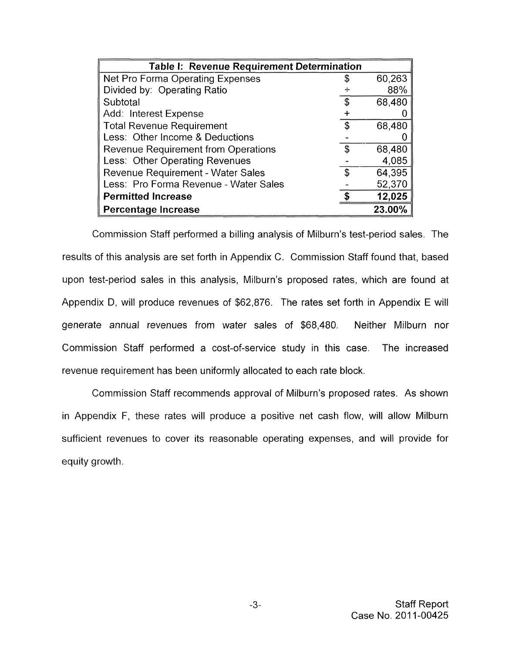| Table I: Revenue Requirement Determination |    |        |
|--------------------------------------------|----|--------|
| Net Pro Forma Operating Expenses           | \$ | 60,263 |
| Divided by: Operating Ratio                |    | 88%    |
| Subtotal                                   | S  | 68,480 |
| Add: Interest Expense                      |    |        |
| <b>Total Revenue Requirement</b>           | S  | 68,480 |
| Less: Other Income & Deductions            |    |        |
| <b>Revenue Requirement from Operations</b> | \$ | 68,480 |
| Less: Other Operating Revenues             |    | 4,085  |
| Revenue Requirement - Water Sales          | S. | 64,395 |
| Less: Pro Forma Revenue - Water Sales      |    | 52,370 |
| <b>Permitted Increase</b>                  |    | 12,025 |
| Percentage Increase                        |    | 23.00% |

Commission Staff performed a billing analysis of Milburn's test-period sales. The results of this analysis are set forth in Appendix C. Commission Staff found that, based upon test-period sales in this analysis, Milburn's proposed rates, which are found at Appendix D, will produce revenues of \$62,876. The rates set forth in Appendix E will generate annual revenues from water sales of \$68,480. Neither Milburn nor Commission Staff performed a cost-of-service study in this case. The increased revenue requirement has been uniformly allocated to each rate block.

Commission Staff recommends approval of Milburn's proposed rates. As shown in Appendix F, these rates will produce a positive net cash flow, will allow Milburn sufficient revenues to cover its reasonable operating expenses, and will provide for equity growth.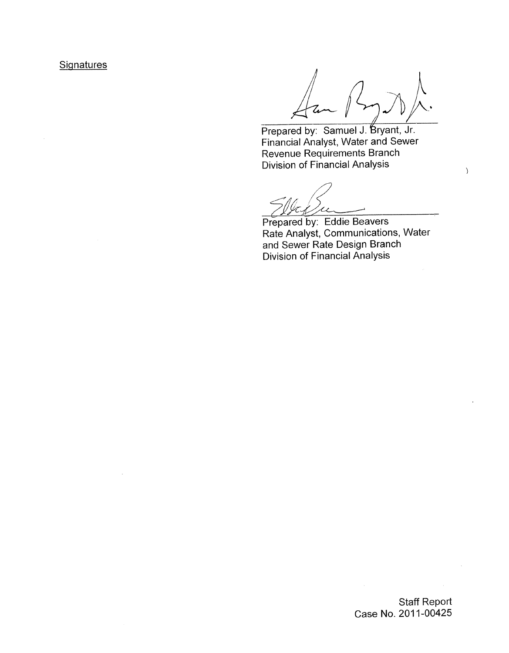# **Signatures**

 $\big\rangle$ 

Prepared by: Samuel J. Bryant, Jr. Financial Analyst, Water and Sewer Revenue Requirements Branch Division of Financial Analysis

YEL,  $\overline{\mathcal{U}}$ 

Prepared by: Eddie Beavers Rate Analyst, Communications, Water and Sewer Rate Design Branch Division of Financial Analysis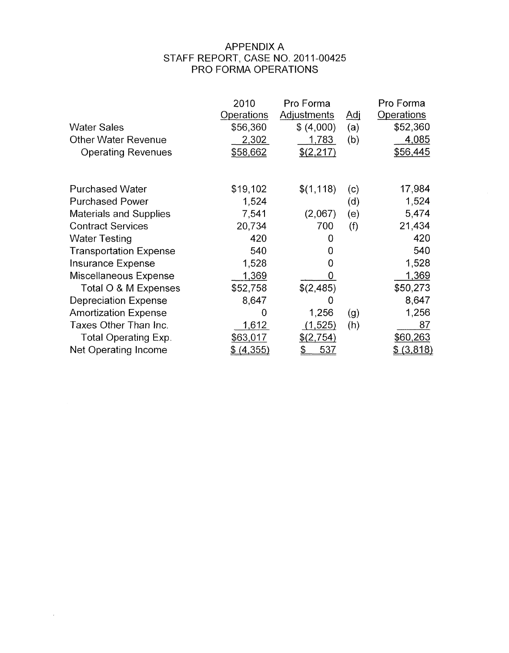# APPENDIX A PRO FORMA OPERATIONS STAFF REPORT, CASE NO. 201 1-00425

| <b>Water Sales</b><br><b>Other Water Revenue</b><br><b>Operating Revenues</b> | 2010<br>Operations<br>\$56,360<br>2,302<br>\$58,662 | Pro Forma<br>Adjustments<br>\$ (4,000)<br>1.783<br>\$ (2,217) | <u>Adi</u><br>(a)<br>(b) | Pro Forma<br>Operations<br>\$52,360<br>4,085<br>\$56,445 |
|-------------------------------------------------------------------------------|-----------------------------------------------------|---------------------------------------------------------------|--------------------------|----------------------------------------------------------|
| <b>Purchased Water</b>                                                        | \$19,102                                            | \$(1, 118)                                                    | (c)                      | 17,984                                                   |
| <b>Purchased Power</b>                                                        | 1,524                                               |                                                               | (d)                      | 1,524                                                    |
| <b>Materials and Supplies</b>                                                 | 7,541                                               | (2,067)                                                       | (e)                      | 5,474                                                    |
| <b>Contract Services</b>                                                      | 20,734                                              | 700                                                           | (f)                      | 21,434                                                   |
| <b>Water Testing</b>                                                          | 420                                                 | 0                                                             |                          | 420                                                      |
| <b>Transportation Expense</b>                                                 | 540                                                 | 0                                                             |                          | 540                                                      |
| <b>Insurance Expense</b>                                                      | 1,528                                               | 0                                                             |                          | 1,528                                                    |
| Miscellaneous Expense                                                         | 1,369                                               | 0                                                             |                          | 1,369                                                    |
| Total O & M Expenses                                                          | \$52,758                                            | \$(2,485)                                                     |                          | \$50,273                                                 |
| <b>Depreciation Expense</b>                                                   | 8,647                                               | 0                                                             |                          | 8,647                                                    |
| <b>Amortization Expense</b>                                                   | 0                                                   | 1,256                                                         | (g)                      | 1,256                                                    |
| Taxes Other Than Inc.                                                         | 1,612                                               | (1, 525)                                                      | (h)                      | 87                                                       |
| <b>Total Operating Exp.</b>                                                   | \$63,017                                            | \$(2,754)                                                     |                          | \$60,263                                                 |
| Net Operating Income                                                          | (4, 355)                                            | <u>537</u><br>S                                               |                          | (3,818)                                                  |

 $\mathcal{L}^{\pm}$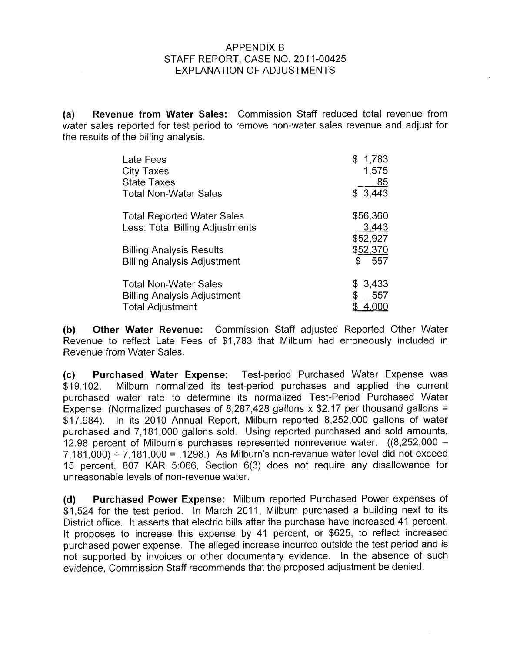## APPENDIX B EXPLANATION OF ADJUSTMENTS STAFF REPORT, CASE NO. 2011-00425

**(a) Revenue from Water Sales:** Commission Staff reduced total revenue from water sales reported for test period to remove non-water sales revenue and adjust for the results of the billing analysis.

| Late Fees                                                             | \$1,783                       |
|-----------------------------------------------------------------------|-------------------------------|
| <b>City Taxes</b>                                                     | 1,575                         |
| <b>State Taxes</b>                                                    | 85                            |
| <b>Total Non-Water Sales</b>                                          | \$3,443                       |
| <b>Total Reported Water Sales</b><br>Less: Total Billing Adjustments  | \$56,360<br>3,443<br>\$52,927 |
| <b>Billing Analysis Results</b><br><b>Billing Analysis Adjustment</b> | \$52,370<br>\$<br>557         |
| <b>Total Non-Water Sales</b>                                          | \$3,433                       |
| <b>Billing Analysis Adjustment</b>                                    | 557                           |
| <b>Total Adjustment</b>                                               | 4,000                         |

**(b) Other Water Revenue:** Commission Staff adjusted Reported Other Water Revenue to reflect Late Fees of \$1,783 that Milburn had erroneously included in Revenue from Water Sales.

**(c) Purchased Water Expense:** Test-period Purchased Water Expense was \$19,102. Milburn normalized its test-period purchases and applied the current purchased water rate to determine its normalized Test-Period Purchased Water Expense. (Normalized purchases of 8,287,428 gallons x \$2.17 per thousand gallons = \$17,984). In its 2010 Annual Report, Milburn reported 8,252,000 gallons of water purchased and 7,181,000 gallons sold. Using reported purchased and sold amounts, 12.98 percent of Milburn's purchases represented nonrevenue water. ((8,252,000 -  $7,181,000$  +  $7,181,000$  = .1298.) As Milburn's non-revenue water level did not exceed 15 percent, 807 KAR 5:066, Section 6(3) does not require any disallowance for unreasonable levels of non-revenue water.

**(d) Purchased Power Expense:** Milburn reported Purchased Power expenses of \$1,524 for the test period. In March 2011, Milburn purchased a building next to its District office. It asserts that electric bills after the purchase have increased 41 percent. It proposes to increase this expense by 41 percent, or \$625, to reflect increased purchased power expense. The alleged increase incurred outside the test period and is not supported by invoices or other documentary evidence. In the absence of such evidence, Commission Staff recommends that the proposed adjustment be denied.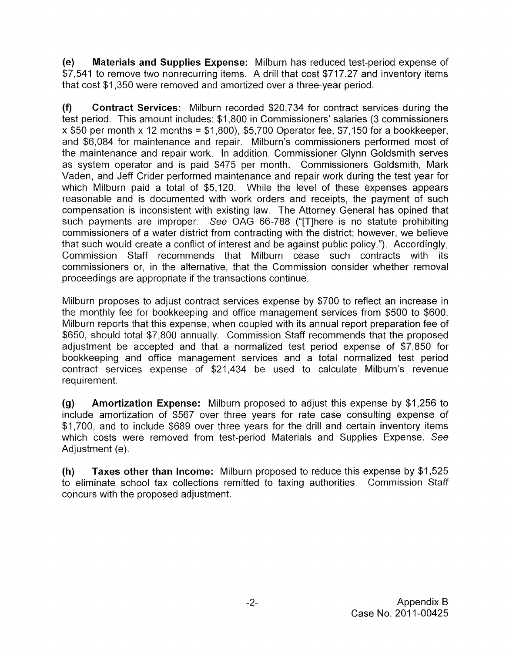**(e) Materials and Supplies Expense:** Milburn has reduced test-period expense of \$7,541 to remove two nonrecurring items. A drill that cost \$717.27 and inventory items that cost \$1,350 were removed and amortized over a three-year period.

**(f) Contract Services:** Milburn recorded \$20,734 for contract services during the test period. This amount includes: \$1,800 in Commissioners' salaries (3 commissioners  $x$  \$50 per month x 12 months = \$1,800), \$5,700 Operator fee, \$7,150 for a bookkeeper, and \$6,084 for maintenance and repair. Milburn's commissioners performed most of the maintenance and repair work. In addition, Commissioner Glynn Goldsmith serves as system operator and is paid \$475 per month. Commissioners Goldsmith, Mark Vaden, and Jeff Crider performed maintenance and repair work during the test year for which Milburn paid a total of \$5,120. While the level of these expenses appears reasonable and is documented with work orders and receipts, the payment of such compensation is inconsistent with existing law. The Attorney General has opined that such payments are improper. See OAG 66-788 ("[T]here is no statute prohibiting commissioners of a water district from contracting with the district; however, we believe that such would create a conflict of interest and be against public policy."). Accordingly, Commission Staff recommends that Milburn cease such contracts with its commissioners or, in the alternative, that the Commission consider whether removal proceedings are appropriate if the transactions continue.

Milburn proposes to adjust contract services expense by \$700 to reflect an increase in the monthly fee for bookkeeping and office management services from \$500 to \$600. Milburn reports that this expense, when coupled with its annual report preparation fee of \$650, should total \$7,800 annually. Commission Staff recommends that the proposed adjustment be accepted and that a normalized test period expense of \$7,850 for bookkeeping and office management services and a total normalized test period contract services expense of \$21,434 be used to calculate Milburn's revenue requirement.

**(9) Amortization Expense:** Milburn proposed to adjust this expense by \$1,256 to include amortization of \$567 over three years for rate case consulting expense of \$1,700, and to include \$689 over three years for the drill and certain inventory items which costs were removed from test-period Materials and Supplies Expense. See Adjustment (e).

**(h)**  to eliminate school tax collections remitted to taxing authorities. Commission Staff concurs with the proposed adjustment. **Taxes other than Income:** Milburn proposed to reduce this expense by \$1,525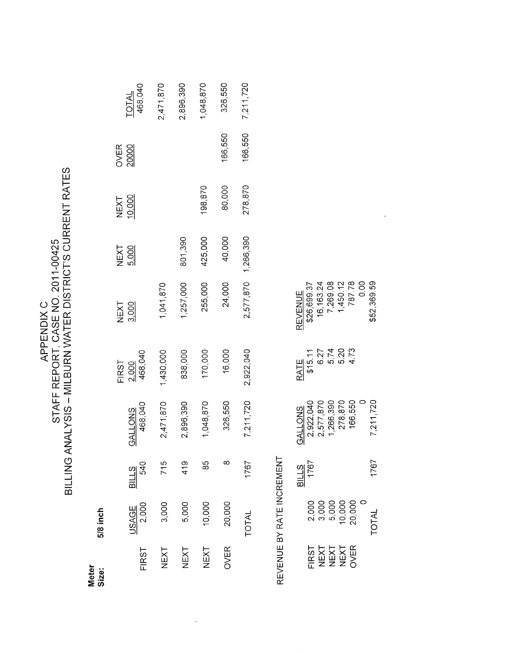| C<br>N<br>E<br>APPENDI | م<br>پ<br>$\frac{1}{2}$<br>Ì<br>STAFF REPORT, CASE NO. 201 | VATER DISTRICT'S CURRENT RATES<br>$\mathsf{C}$<br>ニーワ<br><b>NONIVIC</b><br>ミヘス |
|------------------------|------------------------------------------------------------|--------------------------------------------------------------------------------|
|------------------------|------------------------------------------------------------|--------------------------------------------------------------------------------|

5/8 inch Meter<br>Size:

|               | TOTAL<br>468,040          | 2,471,870                                         | 2,896,390 | 1,048,870 | 326,550     | 7,211,720           |
|---------------|---------------------------|---------------------------------------------------|-----------|-----------|-------------|---------------------|
| OVER<br>20000 |                           |                                                   |           |           | 166,550     | 166,550             |
|               | <b>NEXT</b><br>10,000     |                                                   |           | 198,870   | 80,000      | 278,870             |
|               | NEXT<br>5.000             |                                                   | 801,390   | 425,000   | 40,000      |                     |
|               | NEXT<br>3.000             | 1,041,870                                         | 1,257,000 | 255,000   | 24,000      | 2,577,870 1,266,390 |
|               | FIRST<br>2.000<br>468,040 | 1,430,000                                         | 838,000   | 170,000   | 16,000      | 2,922,040           |
|               | 468,040<br><b>GALLONS</b> | 2,471,870                                         | 2,896,390 | 1,048,870 | 326,550     | 7,211,720           |
|               | <b>BILLS</b><br>540       | 715                                               | 419       | 85        |             | 1767                |
|               |                           | <u>USAGE</u><br>2,000<br>3,000<br>5,000<br>10,000 |           |           | 20,000      | <b>TOTAL</b>        |
|               | <b>FIRST</b>              | NEXT                                              | NEXT      | NEXT      | <b>OVER</b> |                     |

 $\hat{\boldsymbol{\epsilon}}$ 

REVENUE BY RATE INCREMENT

|                      |                                                          |  | REVENUE<br>\$26,699.37<br>16,163.24<br>787.78<br>787.78<br>1,450.78<br>\$52,369.59 |              |
|----------------------|----------------------------------------------------------|--|------------------------------------------------------------------------------------|--------------|
|                      |                                                          |  |                                                                                    |              |
|                      | RATE<br>\$15.11<br>\$15.77<br>\$15.74<br>\$273<br>\$4.73 |  |                                                                                    |              |
|                      |                                                          |  |                                                                                    |              |
|                      |                                                          |  |                                                                                    |              |
|                      |                                                          |  | G <u>ALLONS</u><br>2.922,040<br>2.577,870<br>1.266,390<br>106,550<br>166,550       | 211,720      |
|                      |                                                          |  |                                                                                    |              |
| $\frac{31115}{1767}$ |                                                          |  |                                                                                    | 1767         |
|                      | 2,000<br>3,000<br>5,000<br>20,000<br>20,000              |  |                                                                                    | <b>TOTAL</b> |
|                      |                                                          |  |                                                                                    |              |
|                      | FIRST<br>VEXT<br>VEXT<br>VEXT<br>OVER                    |  |                                                                                    |              |

 $\hat{\mathcal{A}}$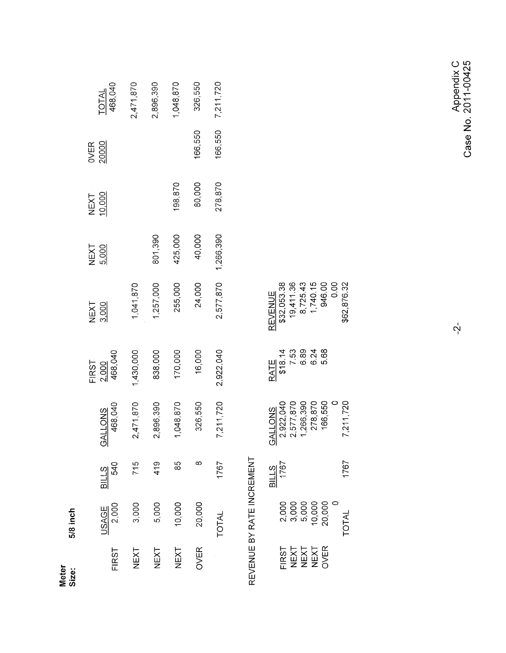5/8 inch Meter<br>Size:

| 7,211,720        | 166,550       | 278,870        | 1,266,390     | 2,577,870     | 2,922,040        | 7,211,720                 | 1767                | <b>TOTAL</b>   |              |
|------------------|---------------|----------------|---------------|---------------|------------------|---------------------------|---------------------|----------------|--------------|
| 326,550          | 166,550       | 80,000         | 40,000        | 24,000        | 16,000           | 326,550                   | œ.                  | 20,000         | <b>OVER</b>  |
| 1,048,870        |               | 198,870        | 425,000       | 255,000       | 170,000          | 1,048,870                 | တ္လ                 | 10,000         | NEXT         |
| 2,896,390        |               |                | 801,390       | 1,257,000     | 838,000          | 2,896,390                 | 419                 | 3,000<br>5,000 | NEXT         |
| 2,471,870        |               |                |               | 1,041,870     | 1,430,000        | 2,471,870                 | 715                 |                | NEXT         |
| TOTAL<br>468,040 | OVER<br>20000 | NEXT<br>10.000 | NEXT<br>5.000 | NEXT<br>3.000 | 2.000<br>468,040 | 468,040<br><b>GALLONS</b> | <b>BILLS</b><br>540 | USAGE<br>2,000 | <b>FIRST</b> |
|                  |               |                |               |               | <b>FIRST</b>     |                           |                     |                |              |

# REVENUE BY RATE INCREMENT

|                    |  | REVENUE<br>\$32,053.38<br>19,411.36<br>8,725,43<br>1,740.15<br>946.00<br>962,876.32 |  |                                                                                  |
|--------------------|--|-------------------------------------------------------------------------------------|--|----------------------------------------------------------------------------------|
|                    |  | RATE<br>518.14<br>518.15<br>50.834<br>60.68                                         |  |                                                                                  |
|                    |  |                                                                                     |  | 3 <u>ALLONS</u><br>2,922,040<br>2,577,870<br>1,266,390<br>1,271,720<br>7,211,720 |
| $rac{311L5}{1767}$ |  |                                                                                     |  | 1767                                                                             |
|                    |  | 000<br>00000000<br>กำเว็บ0000<br>20,000                                             |  | TOTAL                                                                            |
|                    |  | TRST<br>NEXT<br>NEXT<br>NEXT                                                        |  |                                                                                  |

Appendix C<br>Case No. 2011-00425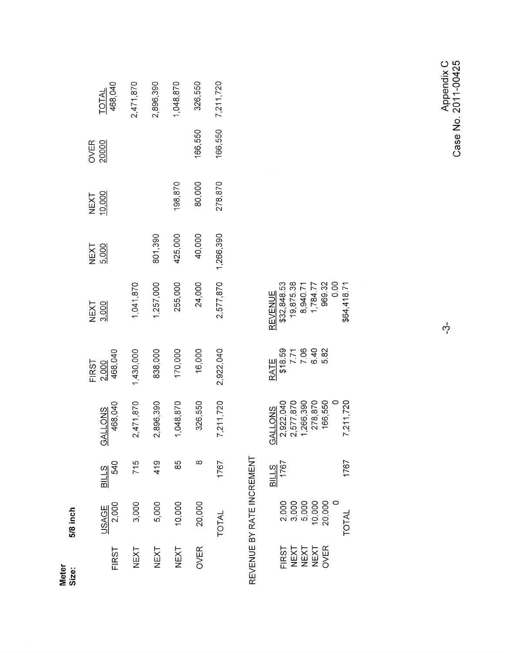5/8 inch Meter<br>Size:

|       | TOTAL<br>468,040          | 2,471,870                               | 2,896,390 | 1,048,870 |           | 326,550     | 7,211,720    |
|-------|---------------------------|-----------------------------------------|-----------|-----------|-----------|-------------|--------------|
|       | OVER<br>20000             |                                         |           |           |           | 166,550     | 166,550      |
|       | NEXT<br>10.000            |                                         |           | 198,870   |           | 80,000      | 278,870      |
|       | NEXT<br>5.000             |                                         | 801,390   | 425,000   |           | 40,000      | 1,266,390    |
|       | NEXT<br>3.000             | 1,041,870                               | 1,257,000 | 255,000   |           | 24,000      | 2,577,870    |
| -IRST | 2,000<br>468,040          | 1,430,000                               | 838,000   |           | 170,000   | 16,000      | 2,922,040    |
|       | 468,040<br><b>GALLONS</b> | 2,471,870                               | 2,896,390 |           | 1,048,870 | 326,550     | 7,211,720    |
|       | <b>BILLS</b><br>540       | 715                                     | 419       |           | အ         |             | 1767         |
|       |                           | <u>USAGE</u><br>2,000<br>3,000<br>5,000 |           | 10,000    |           | 20,000      | <b>TOTAL</b> |
|       | <b>FIRST</b>              | NEXT                                    | NEXT      |           | NEXT      | <b>OVER</b> |              |

# REVENUE BY RATE INCREMENT

|                      | REVENUE<br>\$32,848,53<br>19,875,38<br>8,940,71<br>1,784,77<br>969,32<br>964,418.71<br>\$64,418.71 |  |  |                                                                          |
|----------------------|----------------------------------------------------------------------------------------------------|--|--|--------------------------------------------------------------------------|
|                      | 3ATE<br>\$18.59<br>7.71<br>6.40<br>6.82<br>5.82                                                    |  |  |                                                                          |
|                      |                                                                                                    |  |  | 3ALLONS<br>2,577,870<br>2,577,870<br>1,266,390<br>1,211,720<br>7,211,720 |
| $\frac{31115}{1767}$ |                                                                                                    |  |  | 1767                                                                     |
|                      | 000<br>00000000<br>00000000<br>00000000                                                            |  |  | <b>TOTAL</b>                                                             |
|                      | FIRST<br>VEXT<br>VEXT<br>VER<br>2VER                                                               |  |  |                                                                          |

Appendix C<br>Case No. 2011-00425

 $\phi$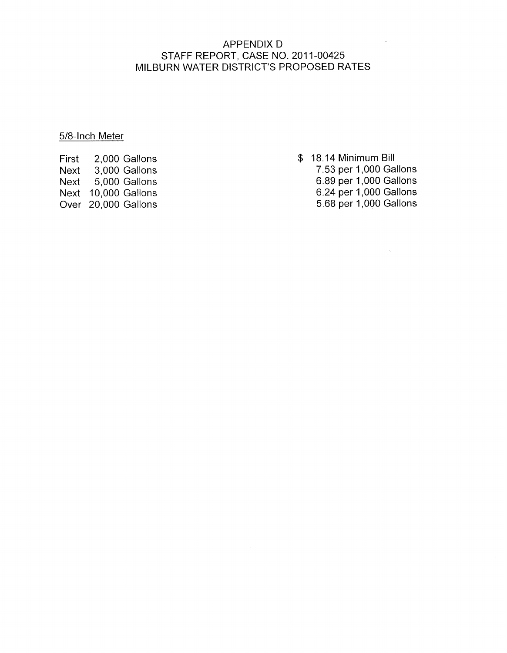# APPENDIX D MILBURN WATER DISTRICT'S PROPOSED RATES STAFF REPORT, CASE NO. 2011-00425

### 5/8-lnch Meter

First 2,000 Gallons Next 3,000 Gallons Next 5,000 Gallons Next 10,000 Gallons Over 20,000 Gallons

- \$ 18.14 Minimum Bill
	- 7.53 per 1,000 Gallons 6.89 per 1,000 Gallons
	- 6.24 per 1,000 Gallons 5.68 per 1,000 Gallons

 $\bar{u}$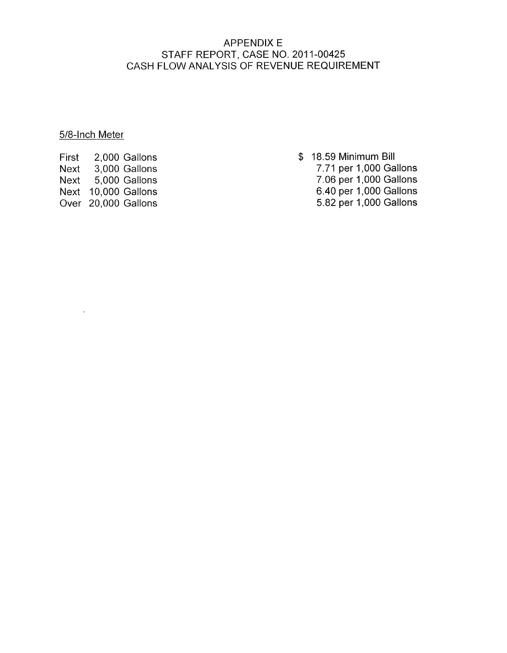# APPENDIX E CASH FLOW ANALYSIS OF REVENUE REQUIREMENT STAFF REPORT, CASE NO. 2011-00425

# 5/8-lnch Meter

 $\bar{t}$ 

First 2,000 Gallons Next 3,000 Gallons Next 5,000 Gallons Next 10,000 Gallons Over 20,000 Gallons

- \$ 18.59 Minimum Bill
	- 7.71 per 1,000 Gallons 7.06 per 1,000 Gallons 6.40 per 1,000 Gallons
	- 5.82 per 1,000 Gallons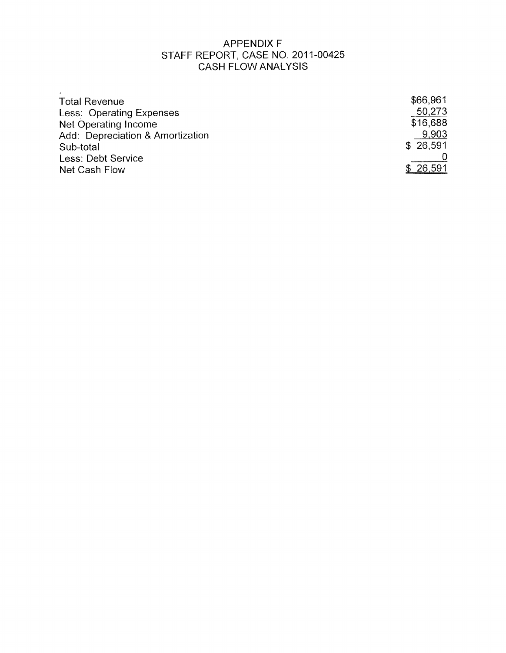# APPENDIX F CASH FLOW ANALYSIS STAFF REPORT, CASE NO. 2011-00425

| <b>Total Revenue</b>             | \$66,961 |
|----------------------------------|----------|
| Less: Operating Expenses         | 50,273   |
| Net Operating Income             | \$16,688 |
| Add: Depreciation & Amortization | 9,903    |
| Sub-total                        | \$26,591 |
| Less: Debt Service               |          |
| Net Cash Flow                    | \$26,591 |